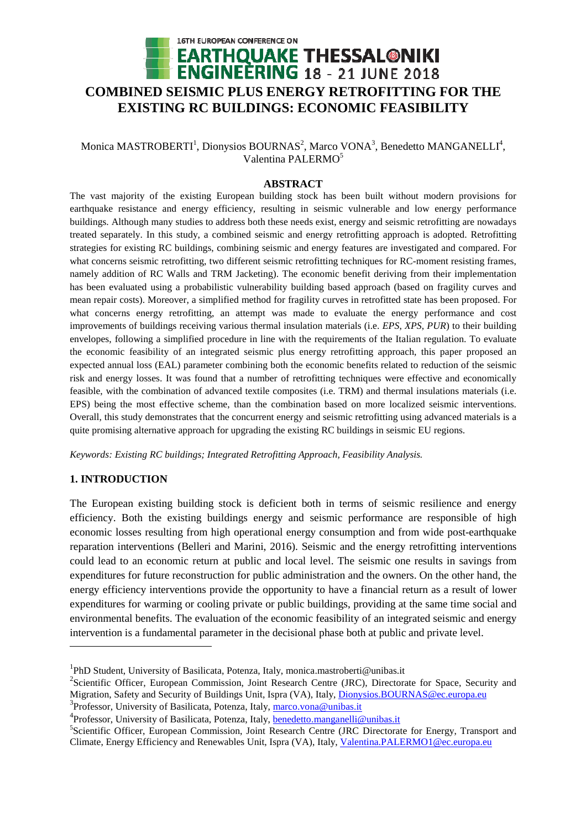

# Monica MASTROBERTI<sup>1</sup>, Dionysios BOURNAS<sup>2</sup>, Marco VONA<sup>3</sup>, Benedetto MANGANELLI<sup>4</sup>, Valentina PALERMO<sup>5</sup>

## **ABSTRACT**

The vast majority of the existing European building stock has been built without modern provisions for earthquake resistance and energy efficiency, resulting in seismic vulnerable and low energy performance buildings. Although many studies to address both these needs exist, energy and seismic retrofitting are nowadays treated separately. In this study, a combined seismic and energy retrofitting approach is adopted. Retrofitting strategies for existing RC buildings, combining seismic and energy features are investigated and compared. For what concerns seismic retrofitting, two different seismic retrofitting techniques for RC-moment resisting frames, namely addition of RC Walls and TRM Jacketing). The economic benefit deriving from their implementation has been evaluated using a probabilistic vulnerability building based approach (based on fragility curves and mean repair costs). Moreover, a simplified method for fragility curves in retrofitted state has been proposed. For what concerns energy retrofitting, an attempt was made to evaluate the energy performance and cost improvements of buildings receiving various thermal insulation materials (i.e. *EPS*, *XPS*, *PUR*) to their building envelopes, following a simplified procedure in line with the requirements of the Italian regulation. To evaluate the economic feasibility of an integrated seismic plus energy retrofitting approach, this paper proposed an expected annual loss (EAL) parameter combining both the economic benefits related to reduction of the seismic risk and energy losses. It was found that a number of retrofitting techniques were effective and economically feasible, with the combination of advanced textile composites (i.e. TRM) and thermal insulations materials (i.e. EPS) being the most effective scheme, than the combination based on more localized seismic interventions. Overall, this study demonstrates that the concurrent energy and seismic retrofitting using advanced materials is a quite promising alternative approach for upgrading the existing RC buildings in seismic EU regions.

*Keywords: Existing RC buildings; Integrated Retrofitting Approach, Feasibility Analysis.* 

## **1. INTRODUCTION**

 $\overline{a}$ 

The European existing building stock is deficient both in terms of seismic resilience and energy efficiency. Both the existing buildings energy and seismic performance are responsible of high economic losses resulting from high operational energy consumption and from wide post-earthquake reparation interventions (Belleri and Marini, 2016). Seismic and the energy retrofitting interventions could lead to an economic return at public and local level. The seismic one results in savings from expenditures for future reconstruction for public administration and the owners. On the other hand, the energy efficiency interventions provide the opportunity to have a financial return as a result of lower expenditures for warming or cooling private or public buildings, providing at the same time social and environmental benefits. The evaluation of the economic feasibility of an integrated seismic and energy intervention is a fundamental parameter in the decisional phase both at public and private level.

<sup>&</sup>lt;sup>1</sup>PhD Student, University of Basilicata, Potenza, Italy, monica.mastroberti@unibas.it

<sup>&</sup>lt;sup>2</sup>Scientific Officer, European Commission, Joint Research Centre (JRC), Directorate for Space, Security and Migration, Safety and Security of Buildings Unit, Ispra (VA), Italy, *Dionysios.BOURNAS@ec.europa.eu* 

<sup>&</sup>lt;sup>3</sup> Professor, University of Basilicata, Potenza, Italy, marco.vona@unibas.it

<sup>&</sup>lt;sup>4</sup> Professor, University of Basilicata, Potenza, Italy, **benedetto.manganelli@unibas.it** 

<sup>&</sup>lt;sup>5</sup>Scientific Officer, European Commission, Joint Research Centre (JRC Directorate for Energy, Transport and Climate, Energy Efficiency and Renewables Unit, Ispra (VA), Italy, Valentina.PALERMO1@ec.europa.eu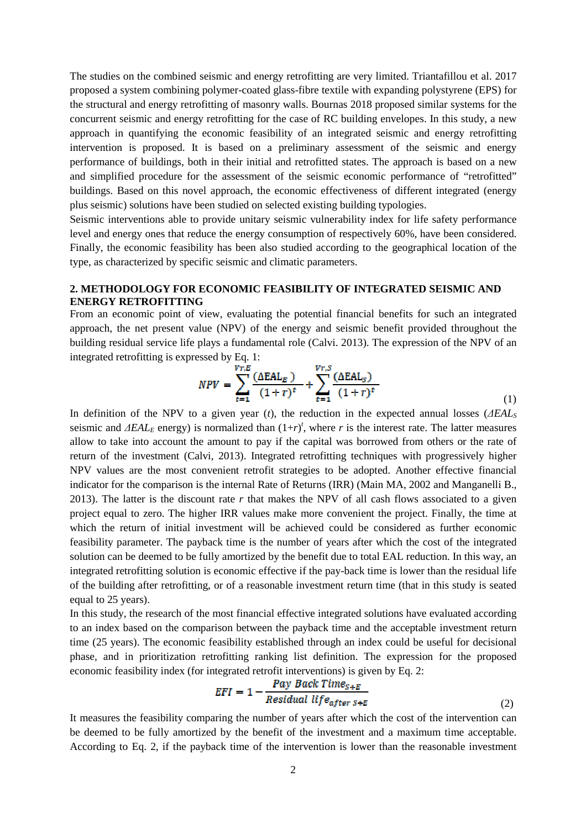The studies on the combined seismic and energy retrofitting are very limited. Triantafillou et al. 2017 proposed a system combining polymer-coated glass-fibre textile with expanding polystyrene (EPS) for the structural and energy retrofitting of masonry walls. Bournas 2018 proposed similar systems for the concurrent seismic and energy retrofitting for the case of RC building envelopes. In this study, a new approach in quantifying the economic feasibility of an integrated seismic and energy retrofitting intervention is proposed. It is based on a preliminary assessment of the seismic and energy performance of buildings, both in their initial and retrofitted states. The approach is based on a new and simplified procedure for the assessment of the seismic economic performance of "retrofitted" buildings. Based on this novel approach, the economic effectiveness of different integrated (energy plus seismic) solutions have been studied on selected existing building typologies.

Seismic interventions able to provide unitary seismic vulnerability index for life safety performance level and energy ones that reduce the energy consumption of respectively 60%, have been considered. Finally, the economic feasibility has been also studied according to the geographical location of the type, as characterized by specific seismic and climatic parameters.

## **2. METHODOLOGY FOR ECONOMIC FEASIBILITY OF INTEGRATED SEISMIC AND ENERGY RETROFITTING**

From an economic point of view, evaluating the potential financial benefits for such an integrated approach, the net present value (NPV) of the energy and seismic benefit provided throughout the building residual service life plays a fundamental role (Calvi. 2013). The expression of the NPV of an integrated retrofitting is expressed by Eq. 1:

$$
NPV = \sum_{t=1}^{Vr, E} \frac{(\Delta EAL_E)}{(1+r)^t} + \sum_{t=1}^{Vr, S} \frac{(\Delta EAL_S)}{(1+r)^t}
$$
(1)

In definition of the NPV to a given year (*t*), the reduction in the expected annual losses (*∆EAL<sup>S</sup>* seismic and *∆EAL*<sub>*E*</sub> energy) is normalized than  $(1+r)^t$ , where *r* is the interest rate. The latter measures allow to take into account the amount to pay if the capital was borrowed from others or the rate of return of the investment (Calvi, 2013). Integrated retrofitting techniques with progressively higher NPV values are the most convenient retrofit strategies to be adopted. Another effective financial indicator for the comparison is the internal Rate of Returns (IRR) (Main MA, 2002 and Manganelli B., 2013). The latter is the discount rate *r* that makes the NPV of all cash flows associated to a given project equal to zero. The higher IRR values make more convenient the project. Finally, the time at which the return of initial investment will be achieved could be considered as further economic feasibility parameter. The payback time is the number of years after which the cost of the integrated solution can be deemed to be fully amortized by the benefit due to total EAL reduction. In this way, an integrated retrofitting solution is economic effective if the pay-back time is lower than the residual life of the building after retrofitting, or of a reasonable investment return time (that in this study is seated equal to 25 years).

In this study, the research of the most financial effective integrated solutions have evaluated according to an index based on the comparison between the payback time and the acceptable investment return time (25 years). The economic feasibility established through an index could be useful for decisional phase, and in prioritization retrofitting ranking list definition. The expression for the proposed economic feasibility index (for integrated retrofit interventions) is given by Eq. 2:

$$
EFI = 1 - \frac{Pay\ Back\ Time_{S+B}}{Residual\ life_{after\ S+E}}
$$
\n(2)

It measures the feasibility comparing the number of years after which the cost of the intervention can be deemed to be fully amortized by the benefit of the investment and a maximum time acceptable. According to Eq. 2, if the payback time of the intervention is lower than the reasonable investment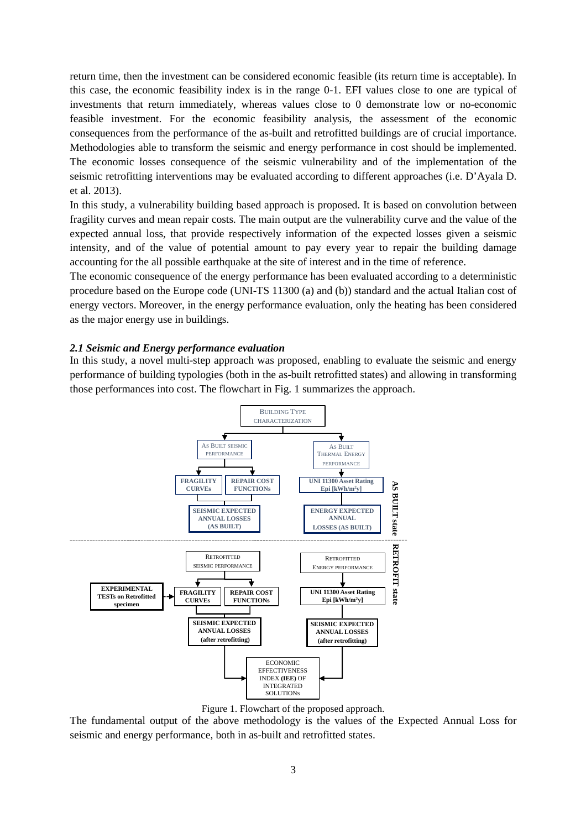return time, then the investment can be considered economic feasible (its return time is acceptable). In this case, the economic feasibility index is in the range 0-1. EFI values close to one are typical of investments that return immediately, whereas values close to 0 demonstrate low or no-economic feasible investment. For the economic feasibility analysis, the assessment of the economic consequences from the performance of the as-built and retrofitted buildings are of crucial importance. Methodologies able to transform the seismic and energy performance in cost should be implemented. The economic losses consequence of the seismic vulnerability and of the implementation of the seismic retrofitting interventions may be evaluated according to different approaches (i.e. D'Ayala D. et al. 2013).

In this study, a vulnerability building based approach is proposed. It is based on convolution between fragility curves and mean repair costs. The main output are the vulnerability curve and the value of the expected annual loss, that provide respectively information of the expected losses given a seismic intensity, and of the value of potential amount to pay every year to repair the building damage accounting for the all possible earthquake at the site of interest and in the time of reference.

The economic consequence of the energy performance has been evaluated according to a deterministic procedure based on the Europe code (UNI-TS 11300 (a) and (b)) standard and the actual Italian cost of energy vectors. Moreover, in the energy performance evaluation, only the heating has been considered as the major energy use in buildings.

## *2.1 Seismic and Energy performance evaluation*

In this study, a novel multi-step approach was proposed, enabling to evaluate the seismic and energy performance of building typologies (both in the as-built retrofitted states) and allowing in transforming those performances into cost. The flowchart in Fig. 1 summarizes the approach.



Figure 1. Flowchart of the proposed approach.

The fundamental output of the above methodology is the values of the Expected Annual Loss for seismic and energy performance, both in as-built and retrofitted states.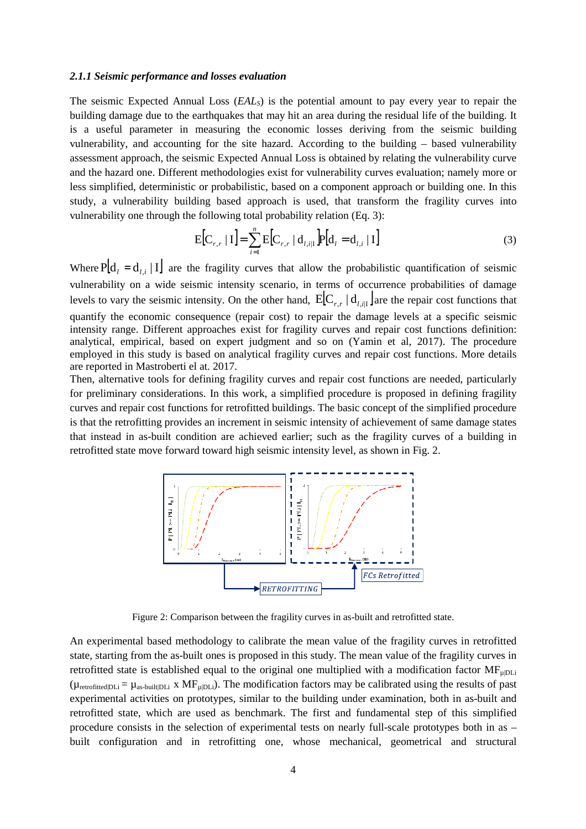## *2.1.1 Seismic performance and losses evaluation*

The seismic Expected Annual Loss (*EALS*) is the potential amount to pay every year to repair the building damage due to the earthquakes that may hit an area during the residual life of the building. It is a useful parameter in measuring the economic losses deriving from the seismic building vulnerability, and accounting for the site hazard. According to the building – based vulnerability assessment approach, the seismic Expected Annual Loss is obtained by relating the vulnerability curve and the hazard one. Different methodologies exist for vulnerability curves evaluation; namely more or less simplified, deterministic or probabilistic, based on a component approach or building one. In this study, a vulnerability building based approach is used, that transform the fragility curves into vulnerability one through the following total probability relation (Eq. 3):

$$
E[C_{r,r} | I] = \sum_{i=1}^{n} E[C_{r,r} | d_{l,i|I}] P[d_{l} = d_{l,i} | I]
$$
 (3)

Where  $P[d_i = d_{i,i} | I]$  are the fragility curves that allow the probabilistic quantification of seismic vulnerability on a wide seismic intensity scenario, in terms of occurrence probabilities of damage levels to vary the seismic intensity. On the other hand,  $E[C_{r,r} | d_{l,i} ]$  are the repair cost functions that quantify the economic consequence (repair cost) to repair the damage levels at a specific seismic intensity range. Different approaches exist for fragility curves and repair cost functions definition: analytical, empirical, based on expert judgment and so on (Yamin et al, 2017). The procedure employed in this study is based on analytical fragility curves and repair cost functions. More details are reported in Mastroberti el at. 2017.

Then, alternative tools for defining fragility curves and repair cost functions are needed, particularly for preliminary considerations. In this work, a simplified procedure is proposed in defining fragility curves and repair cost functions for retrofitted buildings. The basic concept of the simplified procedure is that the retrofitting provides an increment in seismic intensity of achievement of same damage states that instead in as-built condition are achieved earlier; such as the fragility curves of a building in retrofitted state move forward toward high seismic intensity level, as shown in Fig. 2.



Figure 2: Comparison between the fragility curves in as-built and retrofitted state.

An experimental based methodology to calibrate the mean value of the fragility curves in retrofitted state, starting from the as-built ones is proposed in this study. The mean value of the fragility curves in retrofitted state is established equal to the original one multiplied with a modification factor  $MF_{\mu|DL}$  $(\mu_{\text{retnfitted}}|D)$  =  $\mu_{\text{as-buit}}$  x MF<sub>u</sub> $D$ L<sub>i</sub>). The modification factors may be calibrated using the results of past experimental activities on prototypes, similar to the building under examination, both in as-built and retrofitted state, which are used as benchmark. The first and fundamental step of this simplified procedure consists in the selection of experimental tests on nearly full-scale prototypes both in as – built configuration and in retrofitting one, whose mechanical, geometrical and structural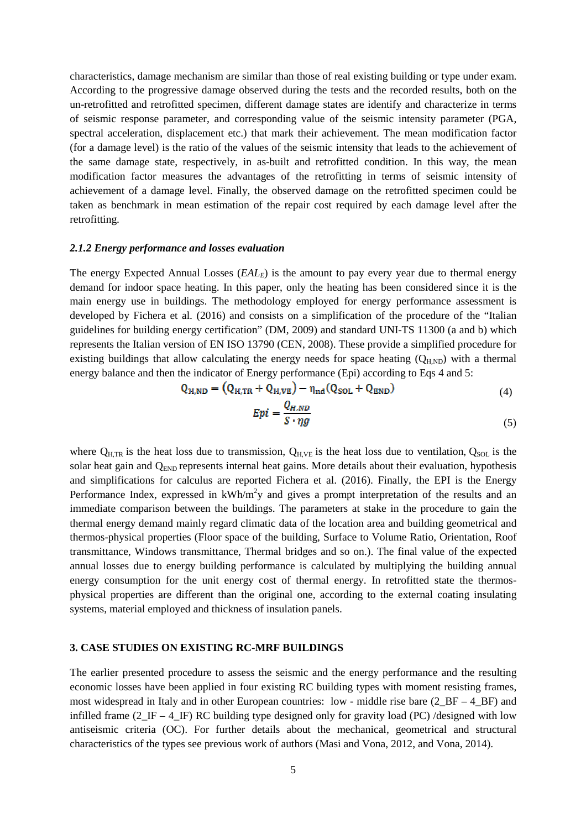characteristics, damage mechanism are similar than those of real existing building or type under exam. According to the progressive damage observed during the tests and the recorded results, both on the un-retrofitted and retrofitted specimen, different damage states are identify and characterize in terms of seismic response parameter, and corresponding value of the seismic intensity parameter (PGA, spectral acceleration, displacement etc.) that mark their achievement. The mean modification factor (for a damage level) is the ratio of the values of the seismic intensity that leads to the achievement of the same damage state, respectively, in as-built and retrofitted condition. In this way, the mean modification factor measures the advantages of the retrofitting in terms of seismic intensity of achievement of a damage level. Finally, the observed damage on the retrofitted specimen could be taken as benchmark in mean estimation of the repair cost required by each damage level after the retrofitting.

#### *2.1.2 Energy performance and losses evaluation*

The energy Expected Annual Losses (*EALE*) is the amount to pay every year due to thermal energy demand for indoor space heating. In this paper, only the heating has been considered since it is the main energy use in buildings. The methodology employed for energy performance assessment is developed by Fichera et al. (2016) and consists on a simplification of the procedure of the "Italian guidelines for building energy certification" (DM, 2009) and standard UNI-TS 11300 (a and b) which represents the Italian version of EN ISO 13790 (CEN, 2008). These provide a simplified procedure for existing buildings that allow calculating the energy needs for space heating  $(Q_{H,ND})$  with a thermal energy balance and then the indicator of Energy performance (Epi) according to Eqs 4 and 5:

$$
Q_{H,ND} = (Q_{H,TR} + Q_{H,VE}) - \eta_{nd}(Q_{SOL} + Q_{END})
$$
\n(4)

$$
Epi = \frac{Q_{H,ND}}{S \cdot \eta g} \tag{5}
$$

where  $Q_{H,TR}$  is the heat loss due to transmission,  $Q_{H,VE}$  is the heat loss due to ventilation,  $Q_{SOL}$  is the solar heat gain and  $Q_{END}$  represents internal heat gains. More details about their evaluation, hypothesis and simplifications for calculus are reported Fichera et al. (2016). Finally, the EPI is the Energy Performance Index, expressed in  $kWh/m^2y$  and gives a prompt interpretation of the results and an immediate comparison between the buildings. The parameters at stake in the procedure to gain the thermal energy demand mainly regard climatic data of the location area and building geometrical and thermos-physical properties (Floor space of the building, Surface to Volume Ratio, Orientation, Roof transmittance, Windows transmittance, Thermal bridges and so on.). The final value of the expected annual losses due to energy building performance is calculated by multiplying the building annual energy consumption for the unit energy cost of thermal energy. In retrofitted state the thermosphysical properties are different than the original one, according to the external coating insulating systems, material employed and thickness of insulation panels.

#### **3. CASE STUDIES ON EXISTING RC-MRF BUILDINGS**

The earlier presented procedure to assess the seismic and the energy performance and the resulting economic losses have been applied in four existing RC building types with moment resisting frames, most widespread in Italy and in other European countries: low - middle rise bare  $(2<sub>BF</sub> - 4<sub>BF</sub>)$  and infilled frame  $(2_\text{IF} - 4_\text{IF})$  RC building type designed only for gravity load (PC) /designed with low antiseismic criteria (OC). For further details about the mechanical, geometrical and structural characteristics of the types see previous work of authors (Masi and Vona, 2012, and Vona, 2014).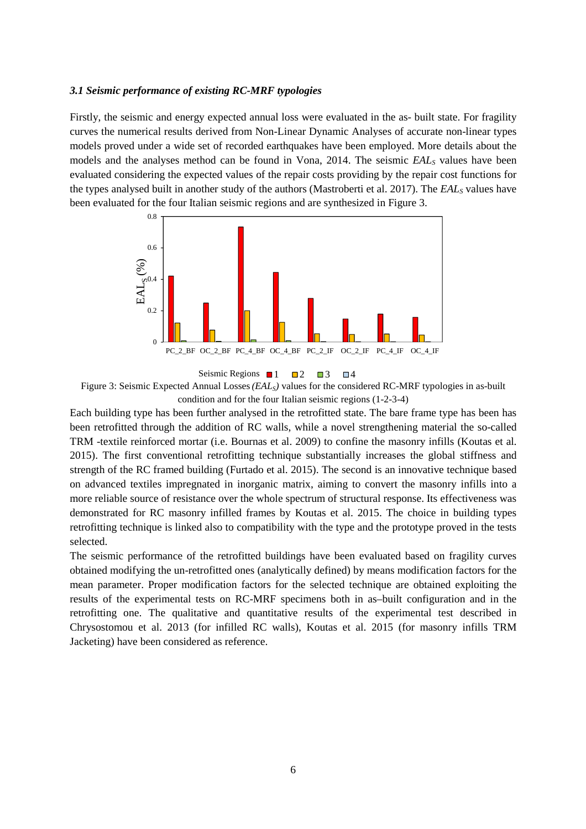#### *3.1 Seismic performance of existing RC-MRF typologies*

Firstly, the seismic and energy expected annual loss were evaluated in the as- built state. For fragility curves the numerical results derived from Non-Linear Dynamic Analyses of accurate non-linear types models proved under a wide set of recorded earthquakes have been employed. More details about the models and the analyses method can be found in Vona, 2014. The seismic *EAL*<sub>*S*</sub> values have been evaluated considering the expected values of the repair costs providing by the repair cost functions for the types analysed built in another study of the authors (Mastroberti et al. 2017). The *EALS* values have been evaluated for the four Italian seismic regions and are synthesized in Figure 3.



Seismic Regions  $\blacksquare$  1  $\blacksquare$  2  $\blacksquare$  3  $\blacksquare$  4

Figure 3: Seismic Expected Annual Losses*(EALS)* values for the considered RC-MRF typologies in as-built condition and for the four Italian seismic regions (1-2-3-4)

Each building type has been further analysed in the retrofitted state. The bare frame type has been has been retrofitted through the addition of RC walls, while a novel strengthening material the so-called TRM -textile reinforced mortar (i.e. Bournas et al. 2009) to confine the masonry infills (Koutas et al. 2015). The first conventional retrofitting technique substantially increases the global stiffness and strength of the RC framed building (Furtado et al. 2015). The second is an innovative technique based on advanced textiles impregnated in inorganic matrix, aiming to convert the masonry infills into a more reliable source of resistance over the whole spectrum of structural response. Its effectiveness was demonstrated for RC masonry infilled frames by Koutas et al. 2015. The choice in building types retrofitting technique is linked also to compatibility with the type and the prototype proved in the tests selected.

The seismic performance of the retrofitted buildings have been evaluated based on fragility curves obtained modifying the un-retrofitted ones (analytically defined) by means modification factors for the mean parameter. Proper modification factors for the selected technique are obtained exploiting the results of the experimental tests on RC-MRF specimens both in as–built configuration and in the retrofitting one. The qualitative and quantitative results of the experimental test described in Chrysostomou et al. 2013 (for infilled RC walls), Koutas et al. 2015 (for masonry infills TRM Jacketing) have been considered as reference.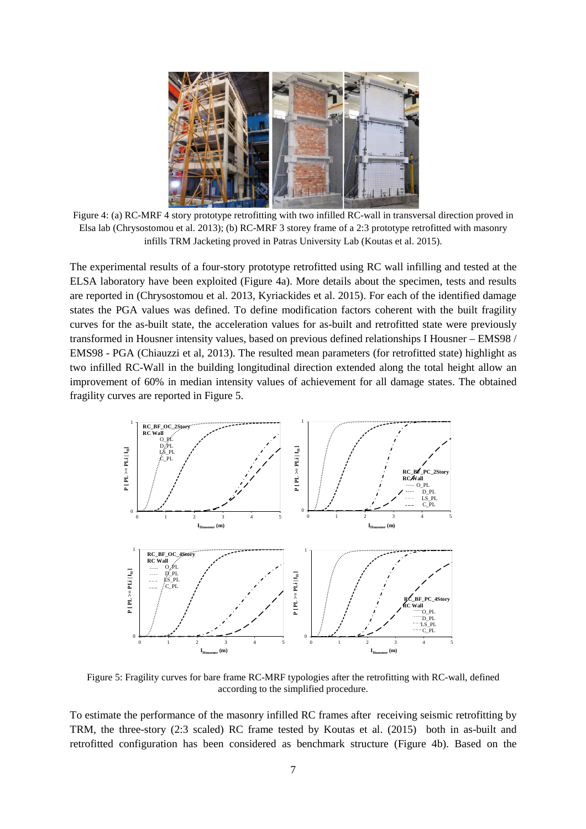

Figure 4: (a) RC-MRF 4 story prototype retrofitting with two infilled RC-wall in transversal direction proved in Elsa lab (Chrysostomou et al. 2013); (b) RC-MRF 3 storey frame of a 2:3 prototype retrofitted with masonry infills TRM Jacketing proved in Patras University Lab (Koutas et al. 2015).

The experimental results of a four-story prototype retrofitted using RC wall infilling and tested at the ELSA laboratory have been exploited (Figure 4a). More details about the specimen, tests and results are reported in (Chrysostomou et al. 2013, Kyriackides et al. 2015). For each of the identified damage states the PGA values was defined. To define modification factors coherent with the built fragility curves for the as-built state, the acceleration values for as-built and retrofitted state were previously transformed in Housner intensity values, based on previous defined relationships I Housner – EMS98 / EMS98 - PGA (Chiauzzi et al, 2013). The resulted mean parameters (for retrofitted state) highlight as two infilled RC-Wall in the building longitudinal direction extended along the total height allow an improvement of 60% in median intensity values of achievement for all damage states. The obtained fragility curves are reported in Figure 5.



Figure 5: Fragility curves for bare frame RC-MRF typologies after the retrofitting with RC-wall, defined according to the simplified procedure.

To estimate the performance of the masonry infilled RC frames after receiving seismic retrofitting by TRM, the three-story (2:3 scaled) RC frame tested by Koutas et al. (2015) both in as-built and retrofitted configuration has been considered as benchmark structure (Figure 4b). Based on the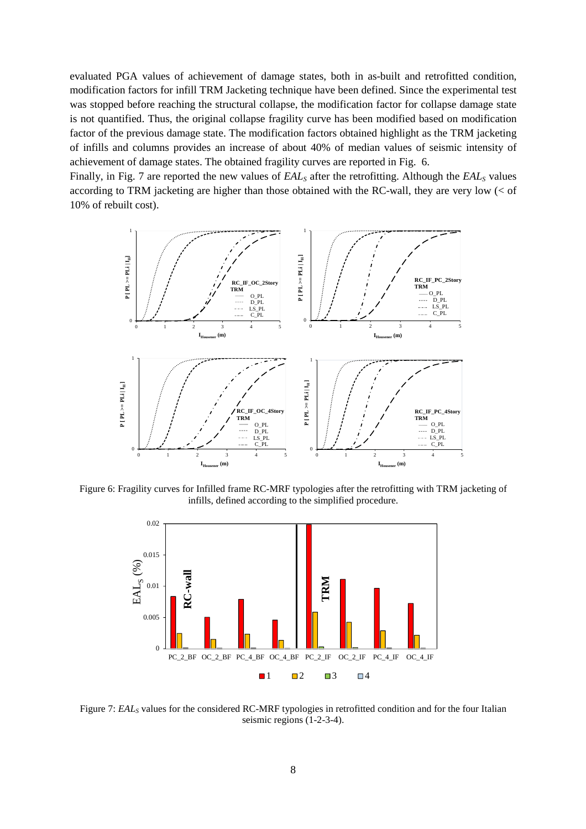evaluated PGA values of achievement of damage states, both in as-built and retrofitted condition, modification factors for infill TRM Jacketing technique have been defined. Since the experimental test was stopped before reaching the structural collapse, the modification factor for collapse damage state is not quantified. Thus, the original collapse fragility curve has been modified based on modification factor of the previous damage state. The modification factors obtained highlight as the TRM jacketing of infills and columns provides an increase of about 40% of median values of seismic intensity of achievement of damage states. The obtained fragility curves are reported in Fig. 6.

Finally, in Fig. 7 are reported the new values of *EALS* after the retrofitting. Although the *EALS* values according to TRM jacketing are higher than those obtained with the RC-wall, they are very low (< of 10% of rebuilt cost).



Figure 6: Fragility curves for Infilled frame RC-MRF typologies after the retrofitting with TRM jacketing of infills, defined according to the simplified procedure.



Figure 7: *EAL*<sub>*S*</sub> values for the considered RC-MRF typologies in retrofitted condition and for the four Italian seismic regions (1-2-3-4).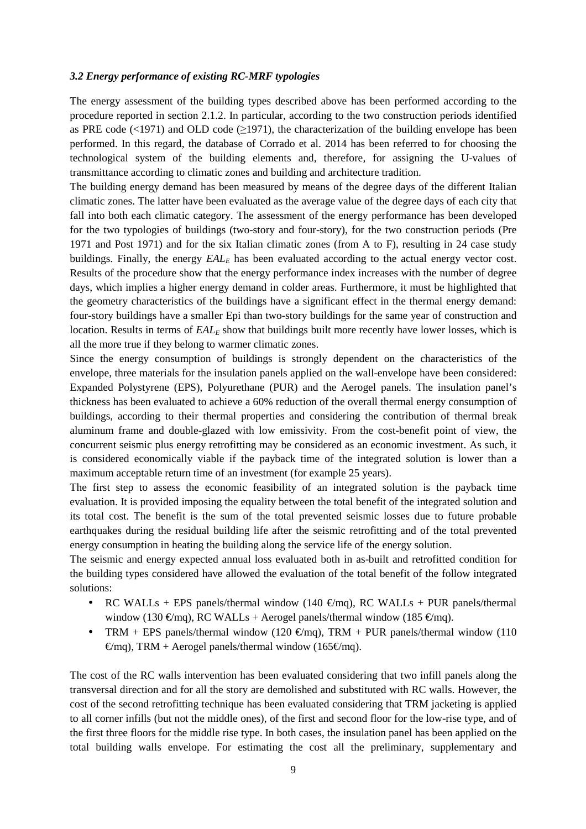### *3.2 Energy performance of existing RC-MRF typologies*

The energy assessment of the building types described above has been performed according to the procedure reported in section 2.1.2. In particular, according to the two construction periods identified as PRE code ( $\leq$ 1971) and OLD code ( $\geq$ 1971), the characterization of the building envelope has been performed. In this regard, the database of Corrado et al. 2014 has been referred to for choosing the technological system of the building elements and, therefore, for assigning the U-values of transmittance according to climatic zones and building and architecture tradition.

The building energy demand has been measured by means of the degree days of the different Italian climatic zones. The latter have been evaluated as the average value of the degree days of each city that fall into both each climatic category. The assessment of the energy performance has been developed for the two typologies of buildings (two-story and four-story), for the two construction periods (Pre 1971 and Post 1971) and for the six Italian climatic zones (from A to F), resulting in 24 case study buildings. Finally, the energy  $EAL<sub>E</sub>$  has been evaluated according to the actual energy vector cost. Results of the procedure show that the energy performance index increases with the number of degree days, which implies a higher energy demand in colder areas. Furthermore, it must be highlighted that the geometry characteristics of the buildings have a significant effect in the thermal energy demand: four-story buildings have a smaller Epi than two-story buildings for the same year of construction and location. Results in terms of  $EAL<sub>E</sub>$  show that buildings built more recently have lower losses, which is all the more true if they belong to warmer climatic zones.

Since the energy consumption of buildings is strongly dependent on the characteristics of the envelope, three materials for the insulation panels applied on the wall-envelope have been considered: Expanded Polystyrene (EPS), Polyurethane (PUR) and the Aerogel panels. The insulation panel's thickness has been evaluated to achieve a 60% reduction of the overall thermal energy consumption of buildings, according to their thermal properties and considering the contribution of thermal break aluminum frame and double-glazed with low emissivity. From the cost-benefit point of view, the concurrent seismic plus energy retrofitting may be considered as an economic investment. As such, it is considered economically viable if the payback time of the integrated solution is lower than a maximum acceptable return time of an investment (for example 25 years).

The first step to assess the economic feasibility of an integrated solution is the payback time evaluation. It is provided imposing the equality between the total benefit of the integrated solution and its total cost. The benefit is the sum of the total prevented seismic losses due to future probable earthquakes during the residual building life after the seismic retrofitting and of the total prevented energy consumption in heating the building along the service life of the energy solution.

The seismic and energy expected annual loss evaluated both in as-built and retrofitted condition for the building types considered have allowed the evaluation of the total benefit of the follow integrated solutions:

- RC WALLs + EPS panels/thermal window (140  $\epsilon$ /mq), RC WALLs + PUR panels/thermal window (130 €/mq), RC WALLs + Aerogel panels/thermal window (185 €/mq).
- TRM + EPS panels/thermal window (120  $\epsilon$ /mq), TRM + FUR panels/thermal window (110  $\epsilon$ /mq), TRM + Aerogel panels/thermal window (165 $\epsilon$ /mg).

The cost of the RC walls intervention has been evaluated considering that two infill panels along the transversal direction and for all the story are demolished and substituted with RC walls. However, the cost of the second retrofitting technique has been evaluated considering that TRM jacketing is applied to all corner infills (but not the middle ones), of the first and second floor for the low-rise type, and of the first three floors for the middle rise type. In both cases, the insulation panel has been applied on the total building walls envelope. For estimating the cost all the preliminary, supplementary and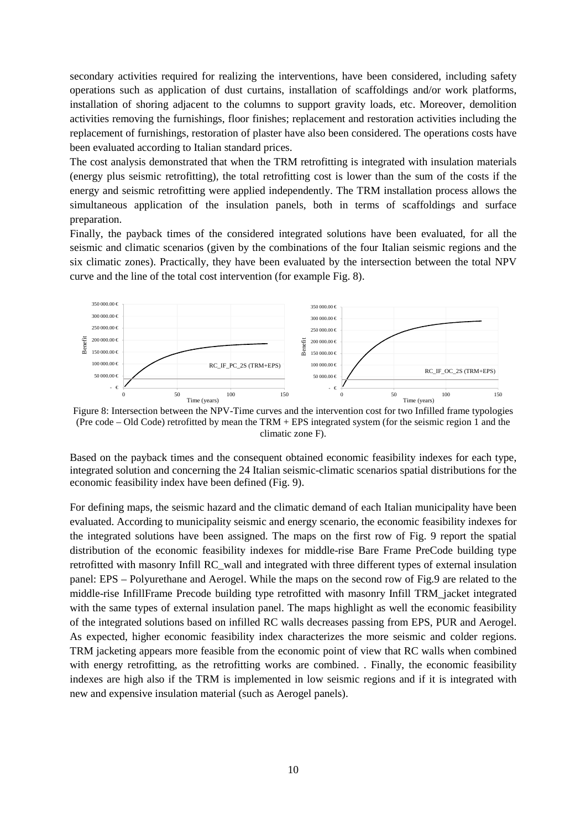secondary activities required for realizing the interventions, have been considered, including safety operations such as application of dust curtains, installation of scaffoldings and/or work platforms, installation of shoring adjacent to the columns to support gravity loads, etc. Moreover, demolition activities removing the furnishings, floor finishes; replacement and restoration activities including the replacement of furnishings, restoration of plaster have also been considered. The operations costs have been evaluated according to Italian standard prices.

The cost analysis demonstrated that when the TRM retrofitting is integrated with insulation materials (energy plus seismic retrofitting), the total retrofitting cost is lower than the sum of the costs if the energy and seismic retrofitting were applied independently. The TRM installation process allows the simultaneous application of the insulation panels, both in terms of scaffoldings and surface preparation.

Finally, the payback times of the considered integrated solutions have been evaluated, for all the seismic and climatic scenarios (given by the combinations of the four Italian seismic regions and the six climatic zones). Practically, they have been evaluated by the intersection between the total NPV curve and the line of the total cost intervention (for example Fig. 8).



Figure 8: Intersection between the NPV-Time curves and the intervention cost for two Infilled frame typologies (Pre code – Old Code) retrofitted by mean the TRM + EPS integrated system (for the seismic region 1 and the climatic zone F).

Based on the payback times and the consequent obtained economic feasibility indexes for each type, integrated solution and concerning the 24 Italian seismic-climatic scenarios spatial distributions for the economic feasibility index have been defined (Fig. 9).

For defining maps, the seismic hazard and the climatic demand of each Italian municipality have been evaluated. According to municipality seismic and energy scenario, the economic feasibility indexes for the integrated solutions have been assigned. The maps on the first row of Fig. 9 report the spatial distribution of the economic feasibility indexes for middle-rise Bare Frame PreCode building type retrofitted with masonry Infill RC\_wall and integrated with three different types of external insulation panel: EPS – Polyurethane and Aerogel. While the maps on the second row of Fig.9 are related to the middle-rise InfillFrame Precode building type retrofitted with masonry Infill TRM\_jacket integrated with the same types of external insulation panel. The maps highlight as well the economic feasibility of the integrated solutions based on infilled RC walls decreases passing from EPS, PUR and Aerogel. As expected, higher economic feasibility index characterizes the more seismic and colder regions. TRM jacketing appears more feasible from the economic point of view that RC walls when combined with energy retrofitting, as the retrofitting works are combined. . Finally, the economic feasibility indexes are high also if the TRM is implemented in low seismic regions and if it is integrated with new and expensive insulation material (such as Aerogel panels).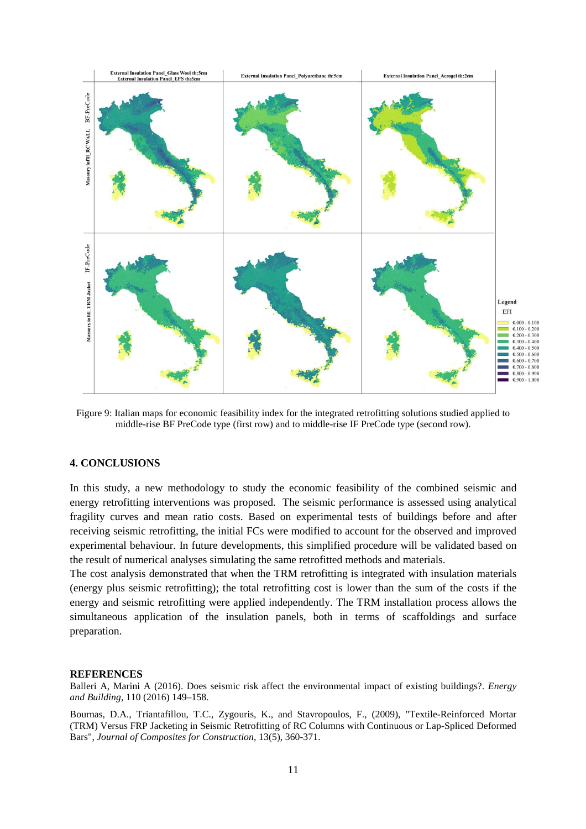

Figure 9: Italian maps for economic feasibility index for the integrated retrofitting solutions studied applied to middle-rise BF PreCode type (first row) and to middle-rise IF PreCode type (second row).

## **4. CONCLUSIONS**

In this study, a new methodology to study the economic feasibility of the combined seismic and energy retrofitting interventions was proposed. The seismic performance is assessed using analytical fragility curves and mean ratio costs. Based on experimental tests of buildings before and after receiving seismic retrofitting, the initial FCs were modified to account for the observed and improved experimental behaviour. In future developments, this simplified procedure will be validated based on the result of numerical analyses simulating the same retrofitted methods and materials.

The cost analysis demonstrated that when the TRM retrofitting is integrated with insulation materials (energy plus seismic retrofitting); the total retrofitting cost is lower than the sum of the costs if the energy and seismic retrofitting were applied independently. The TRM installation process allows the simultaneous application of the insulation panels, both in terms of scaffoldings and surface preparation.

#### **REFERENCES**

Balleri A, Marini A (2016). Does seismic risk affect the environmental impact of existing buildings?. *Energy and Building*, 110 (2016) 149–158.

Bournas, D.A., Triantafillou, T.C., Zygouris, K., and Stavropoulos, F., (2009), "Textile-Reinforced Mortar (TRM) Versus FRP Jacketing in Seismic Retrofitting of RC Columns with Continuous or Lap-Spliced Deformed Bars", *Journal of Composites for Construction*, 13(5), 360-371.